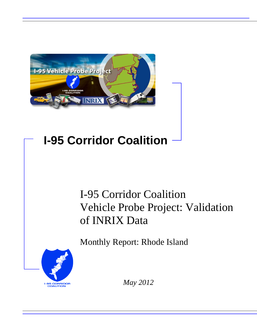

# **I-95 Corridor Coalition**

# I-95 Corridor Coalition Vehicle Probe Project: Validation of INRIX Data

Monthly Report: Rhode Island



*May 2012*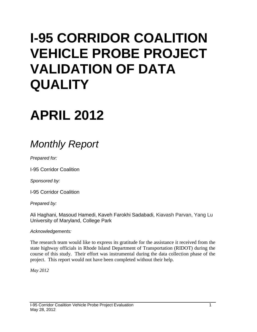# **I-95 CORRIDOR COALITION VEHICLE PROBE PROJECT VALIDATION OF DATA QUALITY**

# **APRIL 2012**

# *Monthly Report*

*Prepared for:*

I-95 Corridor Coalition

*Sponsored by:*

I-95 Corridor Coalition

*Prepared by:*

Ali Haghani, Masoud Hamedi, Kaveh Farokhi Sadabadi, Kiavash Parvan, Yang Lu University of Maryland, College Park

#### *Acknowledgements:*

The research team would like to express its gratitude for the assistance it received from the state highway officials in Rhode Island Department of Transportation (RIDOT) during the course of this study. Their effort was instrumental during the data collection phase of the project. This report would not have been completed without their help.

*May 2012*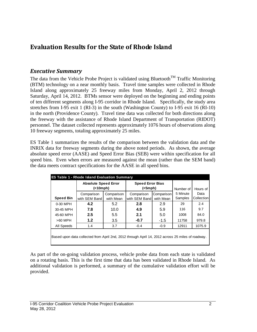# **Evaluation Results for the State of Rhode Island**

## *Executive Summary*

The data from the Vehicle Probe Project is validated using Bluetooth<sup>TM</sup> Traffic Monitoring (BTM) technology on a near monthly basis. Travel time samples were collected in Rhode Island along approximately 25 freeway miles from Monday, April 2, 2012 through Saturday, April 14, 2012. BTMs sensor were deployed on the beginning and ending points of ten different segments along I-95 corridor in Rhode Island. Specifically, the study area stretches from I-95 exit 1 (RI-3) in the south (Washington County) to I-95 exit 16 (RI-10) in the north (Providence County). Travel time data was collected for both directions along the freeway with the assistance of Rhode Island Department of Transportation (RIDOT) personnel. The dataset collected represents approximately 1076 hours of observations along 10 freeway segments, totaling approximately 25 miles.

ES Table 1 summarizes the results of the comparison between the validation data and the INRIX data for freeway segments during the above noted periods. As shown, the average absolute speed error (AASE) and Speed Error Bias (SEB) were within specification for all speed bins. Even when errors are measured against the mean (rather than the SEM band) the data meets contract specifications for the AASE in all speed bins.

|                                                                                                   | <b>Absolute Speed Error</b><br>( |                         | <b>Speed Error Bias</b><br>$(<5$ mph $)$ |                         | Number of           | Hours of           |  |  |  |
|---------------------------------------------------------------------------------------------------|----------------------------------|-------------------------|------------------------------------------|-------------------------|---------------------|--------------------|--|--|--|
| <b>Speed Bin</b>                                                                                  | Comparison<br>with SEM Band      | Comparison<br>with Mean | Comparison<br>with SEM Band              | Comparison<br>with Mean | 5 Minute<br>Samples | Data<br>Collection |  |  |  |
| 0-30 MPH                                                                                          | 4.2                              | 5.2                     | 2.8                                      | 2.9                     | 29                  | 2.4                |  |  |  |
| 30-45 MPH                                                                                         | 7.8                              | 10.0                    | 4.9                                      | 5.9                     | 116                 | 9.7                |  |  |  |
| 45-60 MPH                                                                                         | 2.5                              | $5.5^{\circ}$           | 2.1                                      | 5.0                     | 1008                | 84.0               |  |  |  |
| $>60$ MPH                                                                                         | 1.2                              | 3.5                     | $-0.7$                                   | $-1.5$                  | 11758               | 979.8              |  |  |  |
| All Speeds                                                                                        | 1.4                              | 3.7                     | $-0.4$                                   | $-0.9$                  | 12911               | 1075.9             |  |  |  |
| Based upon data collected from April 2nd, 2012 through April 14, 2012 across 25 miles of roadway. |                                  |                         |                                          |                         |                     |                    |  |  |  |

As part of the on-going validation process, vehicle probe data from each state is validated on a rotating basis. This is the first time that data has been validated in Rhode Island. As additional validation is performed, a summary of the cumulative validation effort will be provided.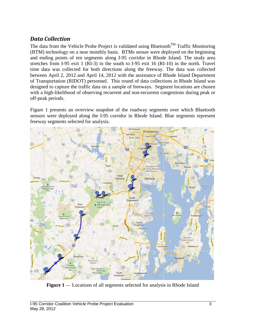# *Data Collection*

The data from the Vehicle Probe Project is validated using Bluetooth<sup>TM</sup> Traffic Monitoring (BTM) technology on a near monthly basis. BTMs sensor were deployed on the beginning and ending points of ten segments along I-95 corridor in Rhode Island. The study area stretches from I-95 exit 1 (RI-3) in the south to I-95 exit 16 (RI-10) in the north. Travel time data was collected for both directions along the freeway. The data was collected between April 2, 2012 and April 14, 2012 with the assistance of Rhode Island Department of Transportation (RIDOT) personnel. This round of data collections in Rhode Island was designed to capture the traffic data on a sample of freeways. Segment locations are chosen with a high-likelihood of observing recurrent and non-recurrent congestions during peak or off-peak periods.

Figure 1 presents an overview snapshot of the roadway segments over which Bluetooth sensors were deployed along the I-95 corridor in Rhode Island. Blue segments represent freeway segments selected for analysis.



**Figure 1** — Locations of all segments selected for analysis in Rhode Island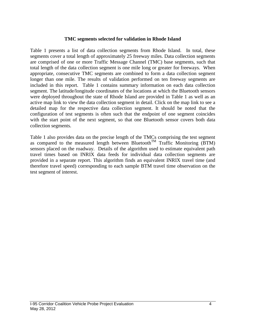#### **TMC segments selected for validation in Rhode Island**

Table 1 presents a list of data collection segments from Rhode Island. In total, these segments cover a total length of approximately 25 freeway miles. Data collection segments are comprised of one or more Traffic Message Channel (TMC) base segments, such that total length of the data collection segment is one mile long or greater for freeways. When appropriate, consecutive TMC segments are combined to form a data collection segment longer than one mile. The results of validation performed on ten freeway segments are included in this report. Table 1 contains summary information on each data collection segment. The latitude/longitude coordinates of the locations at which the Bluetooth sensors were deployed throughout the state of Rhode Island are provided in Table 1 as well as an active map link to view the data collection segment in detail. Click on the map link to see a detailed map for the respective data collection segment. It should be noted that the configuration of test segments is often such that the endpoint of one segment coincides with the start point of the next segment, so that one Bluetooth sensor covers both data collection segments.

Table 1 also provides data on the precise length of the TMCs comprising the test segment as compared to the measured length between Bluetooth<sup>TM</sup> Traffic Monitoring (BTM) sensors placed on the roadway. Details of the algorithm used to estimate equivalent path travel times based on INRIX data feeds for individual data collection segments are provided in a separate report. This algorithm finds an equivalent INRIX travel time (and therefore travel speed) corresponding to each sample BTM travel time observation on the test segment of interest.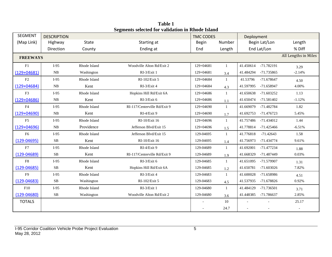| <b>SEGMENT</b>  | <b>DESCRIPTION</b> |              |                              | <b>TMC CODES</b> |              | Deployment                |                          |
|-----------------|--------------------|--------------|------------------------------|------------------|--------------|---------------------------|--------------------------|
| (Map Link)      | Highway            | <b>State</b> | Starting at                  | <b>Begin</b>     | Number       | Begin Lat/Lon             | Length                   |
|                 | Direction          | County       | Ending at                    | End              | Length       | End Lat/Lon               | % Diff                   |
| <b>FREEWAYS</b> |                    |              |                              |                  |              |                           | All Lengths in Miles     |
| F1              | $I-95$             | Rhode Island | Woodville Alton Rd/Exit 2    | 129+04681        | 1            | 41.450614<br>-71.782191   | 3.29                     |
| $(129+04681)$   | NB                 | Washington   | RI-3/Exit 1                  | 129+04681        | 3.4          | 41.484294<br>-71.735865   | $-2.14%$                 |
| F2              | $I-95$             | Rhode Island | RI-102/Exit 5                | 129+04684        | 1            | $-71.678647$<br>41.53796  | 4.50                     |
| $(129+04684)$   | NB                 | Kent         | RI-3/Exit 4                  | 129+04684        | 4.3          | 41.597995<br>-71.658947   | 4.00%                    |
| F3              | $I-95$             | Rhode Island | Hopkins Hill Rd/Exit 6A      | 129+04686        | 1            | 41.650638<br>$-71.603252$ | 1.13                     |
| $(129+04686)$   | NB                 | Kent         | RI-3/Exit 6                  | 129+04686        | 1.1          | -71.581402<br>41.650474   | $-1.12%$                 |
| F <sub>4</sub>  | $I-95$             | Rhode Island | RI-117/Centerville Rd/Exit 9 | 129+04690        | $\mathbf{1}$ | 41.669079<br>-71.482784   | 1.82                     |
| $(129 + 04690)$ | NB                 | Kent         | RI-4/Exit 9                  | $129+04690$      | 1.7          | 41.692753<br>-71.476723   | 5.45%                    |
| F <sub>5</sub>  | $I-95$             | Rhode Island | RI-10/Exit 16                | 129+04696        | $\mathbf{1}$ | 41.757486<br>-71.434012   | 1.44                     |
| $(129+04696)$   | NB                 | Providence   | Jefferson Blvd/Exit 15       | 129+04696        | 1.5          | 41.778814<br>$-71.425466$ | $-6.51%$                 |
| F <sub>6</sub>  | $I-95$             | Rhode Island | Jefferson Blvd/Exit 15       | 129-04695        | $\mathbf{1}$ | 41.776818<br>$-71.42643$  | 1.58                     |
| $(129 - 04695)$ | <b>SB</b>          | Kent         | RI-10/Exit 16                | 129-04695        | 1.4          | -71.434774<br>41.756973   | 9.61%                    |
| F7              | $I-95$             | Rhode Island | RI-4/Exit 9                  | 129-04689        | 1            | 41.692001<br>-71.477234   | 1.88                     |
| $(129 - 04689)$ | <b>SB</b>          | Kent         | RI-117/Centerville Rd/Exit 9 | 129-04689        | 1.9          | 41.668329<br>-71.487449   | 0.03%                    |
| F8              | $I-95$             | Rhode Island | RI-3/Exit 6                  | 129-04685        | $\mathbf{1}$ | -71.579907<br>41.651095   | 1.31                     |
| $(129 - 04685)$ | <b>SB</b>          | Kent         | Hopkins Hill Rd/Exit 6A      | 129-04685        | 1.2          | 41.650781<br>$-71.603026$ | 7.82%                    |
| F <sub>9</sub>  | $I-95$             | Rhode Island | RI-3/Exit 4                  | 129-04683        | $\mathbf{1}$ | 41.600028<br>-71.658986   | 4.51                     |
| $(129 - 04683)$ | <b>SB</b>          | Washington   | RI-102/Exit 5                | 129-04683        | 4.5          | 41.537935<br>-71.678826   | 0.92%                    |
| F10             | $I-95$             | Rhode Island | RI-3/Exit 1                  | 129-04680        | 1            | -71.736501<br>41.484129   | 3.71                     |
| $(129 - 04680)$ | <b>SB</b>          | Washington   | Woodville Alton Rd/Exit 2    | 129-04680        | 3.6          | 41.448385<br>-71.786637   | 2.85%                    |
| <b>TOTALS</b>   |                    |              |                              |                  | 10           |                           | 25.17                    |
|                 |                    |              |                              |                  | 24.7         |                           | $\overline{\phantom{a}}$ |

**Table 1 Segments selected for validation in Rhode Island**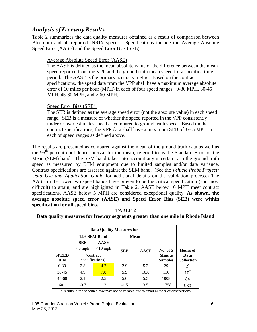# *Analysis of Freeway Results*

Table 2 summarizes the data quality measures obtained as a result of comparison between Bluetooth and all reported INRIX speeds. Specifications include the Average Absolute Speed Error (AASE) and the Speed Error Bias (SEB).

### Average Absolute Speed Error (AASE)

The AASE is defined as the mean absolute value of the difference between the mean speed reported from the VPP and the ground truth mean speed for a specified time period. The AASE is the primary accuracy metric. Based on the contract specifications, the speed data from the VPP shall have a maximum average absolute error of 10 miles per hour (MPH) in each of four speed ranges: 0-30 MPH, 30-45 MPH, 45-60 MPH, and > 60 MPH.

### Speed Error Bias (SEB)

The SEB is defined as the average speed error (not the absolute value) in each speed range. SEB is a measure of whether the speed reported in the VPP consistently under or over estimates speed as compared to ground truth speed. Based on the contract specifications, the VPP data shall have a maximum SEB of  $+/-$  5 MPH in each of speed ranges as defined above.

The results are presented as compared against the mean of the ground truth data as well as the 95<sup>th</sup> percent confidence interval for the mean, referred to as the Standard Error of the Mean (SEM) band. The SEM band takes into account any uncertainty in the ground truth speed as measured by BTM equipment due to limited samples and/or data variance. Contract specifications are assessed against the SEM band. (See the *Vehicle Probe Project: Data Use and Application Guide* for additional details on the validation process.) The AASE in the lower two speed bands have proven to be the critical specification (and most difficult) to attain, and are highlighted in Table 2. AASE below 10 MPH meet contract specifications. AASE below 5 MPH are considered exceptional quality. **As shown, the average absolute speed error (AASE) and Speed Error Bias (SEB) were within specification for all speed bins.** 

### **TABLE 2**

**Data quality measures for freeway segments greater than one mile in Rhode Island**

|              |               | <b>Data Quality Measures for</b> |            |             |                |                   |
|--------------|---------------|----------------------------------|------------|-------------|----------------|-------------------|
|              | 1.96 SEM Band |                                  |            | <b>Mean</b> |                |                   |
|              | <b>SEB</b>    | <b>AASE</b>                      |            |             |                |                   |
|              | $<$ 5 mph     | $<$ 10 mph                       | <b>SEB</b> | <b>AASE</b> | No. of 5       | Hours of          |
| <b>SPEED</b> | (contract)    |                                  |            |             | <b>Minute</b>  | Data              |
| BIN          |               | specifications)                  |            |             | <b>Samples</b> | <b>Collection</b> |
| $0 - 30$     | 2.8           | 4.2                              | 2.9        | 5.2         | 29             | $2^*$             |
| $30 - 45$    | 4.9           | 7.8                              | 5.9        | 10.0        | 116            | $10^*$            |
| $45 - 60$    | 2.1           | 2.5                              | 5.0        | 5.5         | 1008           | 84                |
| $60+$        | $-0.7$        | 1.2                              | $-1.5$     | 3.5         | 11758          | 980               |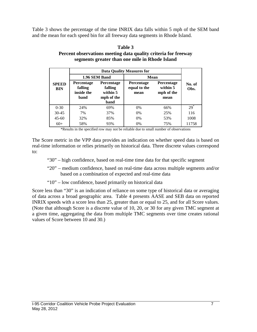Table 3 shows the percentage of the time INRIX data falls within 5 mph of the SEM band and the mean for each speed bin for all freeway data segments in Rhode Island.

|                            | 1.96 SEM Band                                                                                                        |     | Mean                                      |                                                     |                |  |
|----------------------------|----------------------------------------------------------------------------------------------------------------------|-----|-------------------------------------------|-----------------------------------------------------|----------------|--|
| <b>SPEED</b><br><b>BIN</b> | <b>Percentage</b><br><b>Percentage</b><br>falling<br>falling<br>inside the<br>within 5<br>mph of the<br>band<br>band |     | <b>Percentage</b><br>equal to the<br>mean | <b>Percentage</b><br>within 5<br>mph of the<br>mean | No. of<br>Obs. |  |
| $0 - 30$                   | 24%                                                                                                                  | 69% | $0\%$                                     | 66%                                                 | $29*$          |  |
| $30 - 45$                  | 7%                                                                                                                   | 37% | 0%                                        | 25%                                                 | 116            |  |
| $45 - 60$                  | 32%                                                                                                                  | 85% | 0%                                        | 53%                                                 | 1008           |  |
| $60+$                      | 58%                                                                                                                  | 93% | 0%                                        | 75%                                                 | 11758          |  |

#### **Table 3 Percent observations meeting data quality criteria for freeway segments greater than one mile in Rhode Island**

\*Results in the specified row may not be reliable due to small number of observations

The Score metric in the VPP data provides an indication on whether speed data is based on real-time information or relies primarily on historical data. Three discrete values correspond to:

- "30" high confidence, based on real-time time data for that specific segment
- "20" medium confidence, based on real-time data across multiple segments and/or based on a combination of expected and real-time data
- "10" low confidence, based primarily on historical data

Score less than "30" is an indication of reliance on some type of historical data or averaging of data across a broad geographic area. Table 4 presents AASE and SEB data on reported INRIX speeds with a score less than 25, greater than or equal to 25, and for all Score values. (Note that although Score is a discrete value of 10, 20, or 30 for any given TMC segment at a given time, aggregating the data from multiple TMC segments over time creates rational values of Score between 10 and 30.)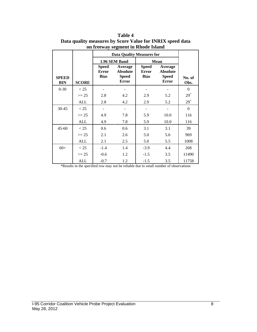|                            |              | <b>Data Quality Measures for</b>            |                                                            |                                             |                                                     |                |  |  |
|----------------------------|--------------|---------------------------------------------|------------------------------------------------------------|---------------------------------------------|-----------------------------------------------------|----------------|--|--|
|                            |              |                                             | 1.96 SEM Band                                              |                                             | <b>Mean</b>                                         |                |  |  |
| <b>SPEED</b><br><b>BIN</b> | <b>SCORE</b> | <b>Speed</b><br><b>Error</b><br><b>Bias</b> | Average<br><b>Absolute</b><br><b>Speed</b><br><b>Error</b> | <b>Speed</b><br><b>Error</b><br><b>Bias</b> | Average<br><b>Absolute</b><br><b>Speed</b><br>Error | No. of<br>Obs. |  |  |
| $0 - 30$                   | < 25         |                                             |                                                            |                                             |                                                     | $\mathbf{0}$   |  |  |
|                            | $>= 25$      | 2.8                                         | 4.2                                                        | 2.9                                         | 5.2                                                 | $29^*$         |  |  |
|                            | <b>ALL</b>   | 2.8                                         | 4.2                                                        | 2.9                                         | 5.2                                                 | $29^*$         |  |  |
| 30-45                      | < 25         |                                             |                                                            |                                             |                                                     | $\Omega$       |  |  |
|                            | $>= 25$      | 4.9                                         | 7.8                                                        | 5.9                                         | 10.0                                                | 116            |  |  |
|                            | ALL          | 4.9                                         | 7.8                                                        | 5.9                                         | 10.0                                                | 116            |  |  |
| $45 - 60$                  | < 25         | 0.6                                         | 0.6                                                        | 3.1                                         | 3.1                                                 | 39             |  |  |
|                            | $>= 25$      | 2.1                                         | 2.6                                                        | 5.0                                         | 5.6                                                 | 969            |  |  |
|                            | <b>ALL</b>   | 2.1                                         | 2.5                                                        | 5.0                                         | 5.5                                                 | 1008           |  |  |
| $60+$                      | < 25         | $-1.4$                                      | 1.4                                                        | $-3.9$                                      | 4.4                                                 | 268            |  |  |
|                            | $>= 25$      | $-0.6$                                      | 1.2                                                        | $-1.5$                                      | 3.5                                                 | 11490          |  |  |
|                            | ALL          | $-0.7$                                      | 1.2                                                        | $-1.5$                                      | 3.5                                                 | 11758          |  |  |

**Table 4 Data quality measures by Score Value for INRIX speed data on freeway segment in Rhode Island**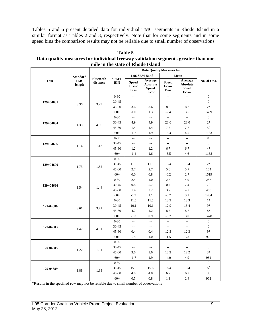Tables 5 and 6 present detailed data for individual TMC segments in Rhode Island in a similar format as Tables 2 and 3, respectively. Note that for some segments and in some speed bins the comparison results may not be reliable due to small number of observations.

| mile in the state of Rhode Island |                 |                              |                            |                                             |                                                            |                                             |                                                            |                  |  |
|-----------------------------------|-----------------|------------------------------|----------------------------|---------------------------------------------|------------------------------------------------------------|---------------------------------------------|------------------------------------------------------------|------------------|--|
|                                   |                 |                              |                            |                                             | <b>Data Quality Measures for</b>                           |                                             |                                                            |                  |  |
|                                   | <b>Standard</b> |                              | <b>SPEED</b><br><b>BIN</b> |                                             | 1.96 SEM Band                                              |                                             | Mean                                                       |                  |  |
| <b>TMC</b>                        | TMC<br>length   | <b>Bluetooth</b><br>distance |                            | <b>Speed</b><br><b>Error</b><br><b>Bias</b> | Average<br><b>Absolute</b><br><b>Speed</b><br><b>Error</b> | <b>Speed</b><br><b>Error</b><br><b>Bias</b> | Average<br><b>Absolute</b><br><b>Speed</b><br><b>Error</b> | No. of Obs.      |  |
|                                   |                 |                              | $0 - 30$                   | $\overline{a}$                              | $\overline{a}$                                             | $\overline{a}$                              | $\overline{a}$                                             | $\mathbf{0}$     |  |
| $129+04681$                       | 3.36            | 3.29                         | 30-45                      | Ξ.                                          | ۰.                                                         | ٠.                                          | ٠.                                                         | $\boldsymbol{0}$ |  |
|                                   |                 |                              | 45-60                      | 3.6                                         | 3.6                                                        | 8.2                                         | 8.2                                                        | $2*$             |  |
|                                   |                 |                              | $60+$                      | $-1.0$                                      | 1.3                                                        | $-2.4$                                      | 3.6                                                        | 1409             |  |
|                                   |                 |                              | $0 - 30$                   | Ξ.                                          | $\overline{a}$                                             | $\overline{a}$                              | $\overline{a}$                                             | $\Omega$         |  |
| 129+04684                         | 4.33            | 4.50                         | 30-45                      | 4.9                                         | 4.9                                                        | 23.0                                        | 23.0                                                       | $2*$             |  |
|                                   |                 |                              | $45 - 60$                  | 1.4                                         | 1.4                                                        | 7.7                                         | 7.7                                                        | 50               |  |
|                                   |                 |                              | $60+$                      | $-1.7$                                      | 1.9                                                        | $-3.3$                                      | 4.5                                                        | 1183             |  |
|                                   |                 |                              | $0 - 30$                   | $\qquad \qquad -$                           | $\overline{\phantom{a}}$                                   | $\overline{a}$                              | Щ,                                                         | $\theta$         |  |
| 129+04686                         | 1.14            | 1.13                         | 30-45                      | $\overline{\phantom{a}}$                    | $\overline{\phantom{a}}$                                   | $\overline{\phantom{a}}$                    | ٠.                                                         | $\boldsymbol{0}$ |  |
|                                   |                 |                              | $45 - 60$                  | 1.2                                         | 1.2                                                        | 6.7                                         | 6.7                                                        | $4*$             |  |
|                                   |                 |                              | $60+$                      | $-1.4$                                      | 1.6                                                        | $-3.5$                                      | 4.6                                                        | 1188             |  |
|                                   |                 |                              | $0 - 30$                   | $\sim$                                      | $\overline{a}$                                             | $\overline{a}$                              | $\sim$                                                     | $\overline{0}$   |  |
| $129+04690$                       | 1.73            | 1.82                         | 30-45                      | 11.9                                        | 11.9                                                       | 13.4                                        | 13.4                                                       | $2*$             |  |
|                                   |                 |                              | 45-60                      | 2.7                                         | 2.7                                                        | 5.6                                         | 5.7                                                        | 104              |  |
|                                   |                 |                              | $60+$                      | 0.0                                         | 0.8                                                        | $-0.2$                                      | 2.7                                                        | 1519             |  |
|                                   |                 |                              | $0 - 30$                   | 2.5                                         | 4.0                                                        | 2.5                                         | 4.9                                                        | $28*$            |  |
| 129+04696                         | 1.54            | 1.44                         | 30-45                      | 0.8                                         | 5.7                                                        | 0.7                                         | 7.4                                                        | 70               |  |
|                                   |                 |                              | $45 - 60$                  | 1.4                                         | 2.2                                                        | 3.7                                         | 4.7                                                        | 488              |  |
|                                   |                 |                              | $60+$                      | $-0.3$                                      | 1.1                                                        | $-0.7$                                      | 3.2                                                        | 1464             |  |
|                                   |                 |                              | $0 - 30$                   | 11.5                                        | 11.5                                                       | 13.3                                        | 13.3                                                       | $1*$             |  |
| 129-04680                         | 3.61            | 3.71                         | 30-45                      | 10.1                                        | 10.1                                                       | 12.9                                        | 13.4                                                       | $9*$             |  |
|                                   |                 |                              | 45-60                      | 4.2                                         | 4.2                                                        | 8.7                                         | 8.7                                                        | $8*$             |  |
|                                   |                 |                              | $60+$                      | $-0.3$                                      | 0.9                                                        | $-0.7$                                      | 3.0                                                        | 1478             |  |
|                                   |                 |                              | $0 - 30$                   | u.                                          | $\mathbb{R}^2$                                             | цц.                                         | u.                                                         | $\overline{0}$   |  |
| 129-04683                         | 4.47            | 4.51                         | 30-45                      | Ξ.                                          | $\overline{\phantom{a}}$                                   | $\overline{\phantom{a}}$                    | --                                                         | $\theta$         |  |
|                                   |                 |                              | $45 - 60$                  | 0.4                                         | 0.4                                                        | 12.3                                        | 12.3                                                       | $9*$             |  |
|                                   |                 |                              | $60+$                      | $-0.6$                                      | 1.0                                                        | $-1.5$                                      | 3.3                                                        | 906              |  |
|                                   |                 |                              | $0 - 30$                   | $\overline{a}$                              | $\overline{a}$                                             | $\overline{a}$                              | $\overline{a}$                                             | $\mathbf{0}$     |  |
| 129-04685                         | 1.22            | 1.31                         | 30-45                      | $\overline{\phantom{a}}$                    | ۰.                                                         | $\overline{\phantom{a}}$                    | $\overline{\phantom{a}}$                                   | $\boldsymbol{0}$ |  |
|                                   |                 |                              | 45-60                      | 3.6                                         | 3.6                                                        | 12.2                                        | 12.2                                                       | $3*$             |  |
|                                   |                 |                              | $60+$                      | $-1.7$                                      | 1.9                                                        | $-4.0$                                      | 4.9                                                        | 981              |  |
|                                   |                 |                              | $0 - 30$                   | ц.                                          | $\mathbb{Z}^2$                                             | цц.                                         | u.                                                         | $\mathbf{0}$     |  |
| 129-04689                         | 1.88            | 1.88                         | 30-45                      | 15.6                                        | 15.6                                                       | 18.4                                        | 18.4                                                       | $5^*$            |  |
|                                   |                 |                              | $45 - 60$                  | 4.0                                         | 4.0                                                        | 6.7                                         | 6.7                                                        | 90               |  |
|                                   |                 |                              | $60+$                      | 0.5                                         | 0.8                                                        | 1.1                                         | 2.4                                                        | 962              |  |

**Table 5 Data quality measures for individual freeway validation segments greater than one**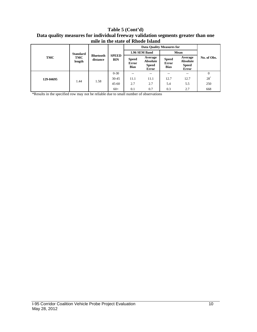#### **Table 5 (Cont'd) Data quality measures for individual freeway validation segments greater than one mile in the state of Rhode Island**

|           |                 | <b>Bluetooth</b><br>distance | <b>SPEED</b><br><b>BIN</b> |                                             |                                              |                                             |                                              |                |
|-----------|-----------------|------------------------------|----------------------------|---------------------------------------------|----------------------------------------------|---------------------------------------------|----------------------------------------------|----------------|
|           | <b>Standard</b> |                              |                            | 1.96 SEM Band                               |                                              | Mean                                        |                                              |                |
| TMC       | TMC<br>length   |                              |                            | <b>Speed</b><br><b>Error</b><br><b>Bias</b> | Average<br>Absolute<br><b>Speed</b><br>Error | <b>Speed</b><br><b>Error</b><br><b>Bias</b> | Average<br>Absolute<br><b>Speed</b><br>Error | No. of Obs.    |
|           |                 |                              | $0 - 30$                   | --                                          | $\qquad \qquad -$                            | --                                          | $\hspace{0.05cm} -$                          | $\overline{0}$ |
| 129-04695 | 1.44            | 1.58                         | $30 - 45$                  | 11.1                                        | 11.1                                         | 12.7                                        | 12.7                                         | $28^*$         |
|           |                 |                              | $45 - 60$                  | 2.7                                         | 2.7                                          | 5.4                                         | 5.5                                          | 250            |
|           |                 |                              | $60+$                      | 0.1                                         | 0.7                                          | 0.3                                         | 2.7                                          | 668            |